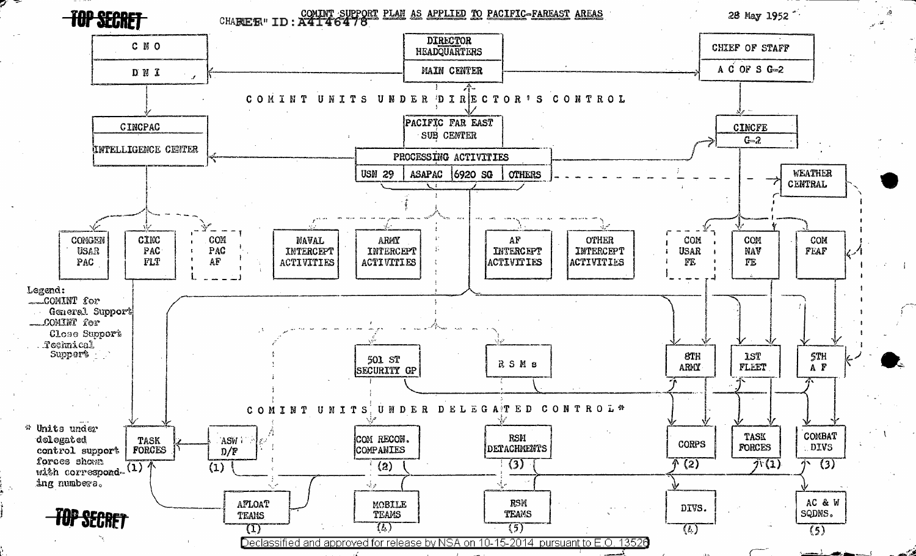